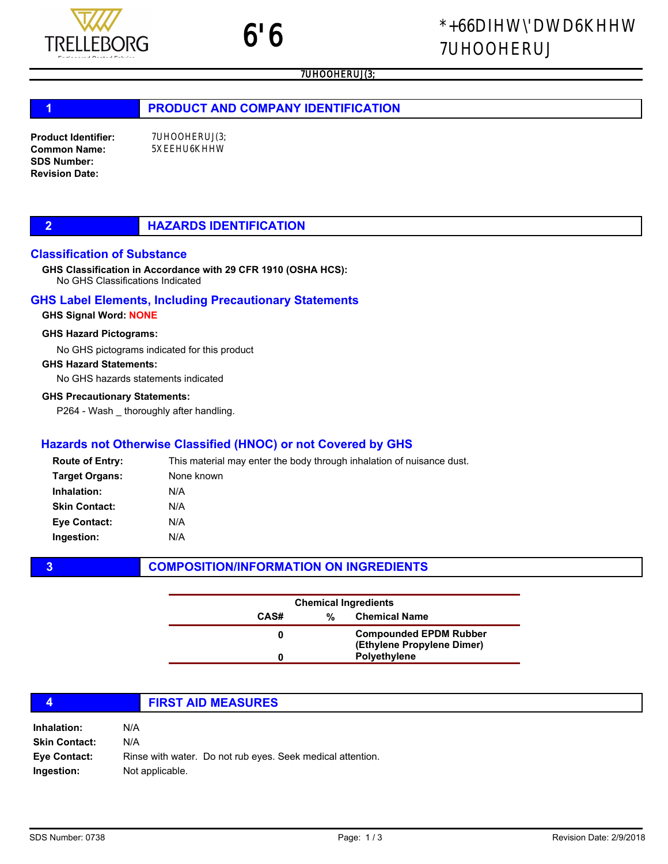# 1 **PRODUCT AND COMPANY IDENTIFICATION**

Product Identifier: Common Name: SDS Number: Revision Date:

## Classification of Substance

No GHS Classifications Indicated GHS Classification in Accordance with 29 CFR 1910 (OSHA HCS):

## GHS Label Elements, Including Precautionary Statements

## GHS Signal Word: NONE

## GHS Hazard Pictograms:

No GHS pictograms indicated for this product

#### GHS Hazard Statements:

No GHS hazards statements indicated

### GHS Precautionary Statements:

P264 - Wash \_ thoroughly after handling.

## Hazards not Otherwise Classified (HNOC) or not Covered by GHS

| <b>Route of Entry:</b> | This material may enter the body through inhalation of nuisance dust. |
|------------------------|-----------------------------------------------------------------------|
| <b>Target Organs:</b>  | None known                                                            |
| Inhalation:            | N/A                                                                   |
| <b>Skin Contact:</b>   | N/A                                                                   |
| <b>Eye Contact:</b>    | N/A                                                                   |
| Ingestion:             | N/A                                                                   |

## **3** COMPOSITION/INFORMATION ON INGREDIENTS

|      | <b>Chemical Ingredients</b> |                                                             |
|------|-----------------------------|-------------------------------------------------------------|
| CAS# | %                           | <b>Chemical Name</b>                                        |
|      |                             | <b>Compounded EPDM Rubber</b><br>(Ethylene Propylene Dimer) |
|      |                             | <b>Polyethylene</b>                                         |

|                                   | <b>FIRST AID MEASURES</b>                                                     |
|-----------------------------------|-------------------------------------------------------------------------------|
| Inhalation:                       | N/A                                                                           |
| <b>Skin Contact:</b>              | N/A                                                                           |
| <b>Eye Contact:</b><br>Ingestion: | Rinse with water. Do not rub eyes. Seek medical attention.<br>Not applicable. |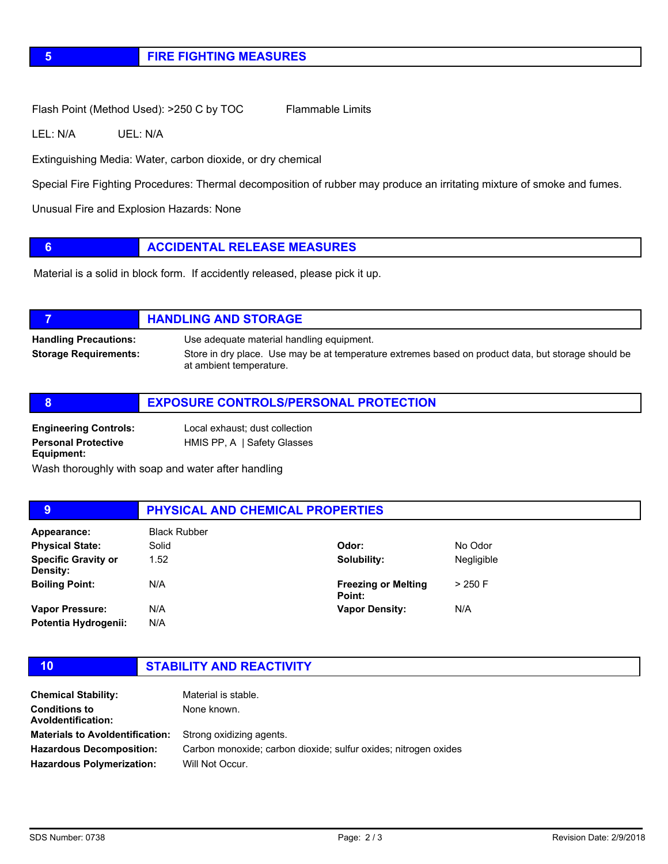# 5 FIRE FIGHTING MEASURES

Flash Point (Method Used): >250 C by TOC Flammable Limits

LEL: N/A UEL: N/A

Extinguishing Media: Water, carbon dioxide, or dry chemical

Special Fire Fighting Procedures: Thermal decomposition of rubber may produce an irritating mixture of smoke and fumes.

Unusual Fire and Explosion Hazards: None

## **6 ACCIDENTAL RELEASE MEASURES**

Material is a solid in block form. If accidently released, please pick it up.

# **TELESCOPE IN THE HANDLING AND STORAGE** Handling Precautions: Use adequate material handling equipment. Storage Requirements: Store in dry place. Use may be at temperature extremes based on product data, but storage should be at ambient temperature.

|                                                                          | <b>EXPOSURE CONTROLS/PERSONAL PROTECTION</b>                  |
|--------------------------------------------------------------------------|---------------------------------------------------------------|
| <b>Engineering Controls:</b><br><b>Personal Protective</b><br>Equipment: | Local exhaust; dust collection<br>HMIS PP, A   Safety Glasses |

Wash thoroughly with soap and water after handling

#### 9 **PHYSICAL AND CHEMICAL PROPERTIES** Appearance: Black Rubber 1.52 N/A N/A N/A Solubility: Freezing or Melting Point: Vapor Density: Negligible > 250 F N/A Specific Gravity or Density: Boiling Point: Vapor Pressure: Potentia Hydrogenii: **Physical State:** Solid State: Solid Color: Odor: No Odor

10 STABILITY AND REACTIVITY

| <b>Chemical Stability:</b>                        | Material is stable.                                             |
|---------------------------------------------------|-----------------------------------------------------------------|
| <b>Conditions to</b><br><b>Avoldentification:</b> | None known.                                                     |
| <b>Materials to Avoldentification:</b>            | Strong oxidizing agents.                                        |
| <b>Hazardous Decomposition:</b>                   | Carbon monoxide; carbon dioxide; sulfur oxides; nitrogen oxides |
| <b>Hazardous Polymerization:</b>                  | Will Not Occur.                                                 |